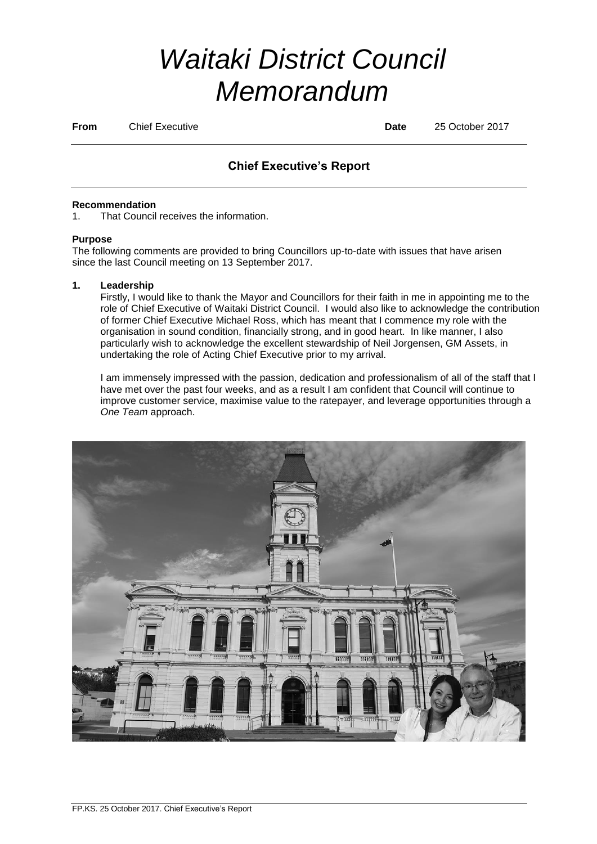# *Waitaki District Council Memorandum*

**From** Chief Executive **Date** 25 October 2017

# **Chief Executive's Report**

#### **Recommendation**

1. That Council receives the information.

### **Purpose**

The following comments are provided to bring Councillors up-to-date with issues that have arisen since the last Council meeting on 13 September 2017.

## **1. Leadership**

Firstly, I would like to thank the Mayor and Councillors for their faith in me in appointing me to the role of Chief Executive of Waitaki District Council. I would also like to acknowledge the contribution of former Chief Executive Michael Ross, which has meant that I commence my role with the organisation in sound condition, financially strong, and in good heart. In like manner, I also particularly wish to acknowledge the excellent stewardship of Neil Jorgensen, GM Assets, in undertaking the role of Acting Chief Executive prior to my arrival.

I am immensely impressed with the passion, dedication and professionalism of all of the staff that I have met over the past four weeks, and as a result I am confident that Council will continue to improve customer service, maximise value to the ratepayer, and leverage opportunities through a *One Team* approach.

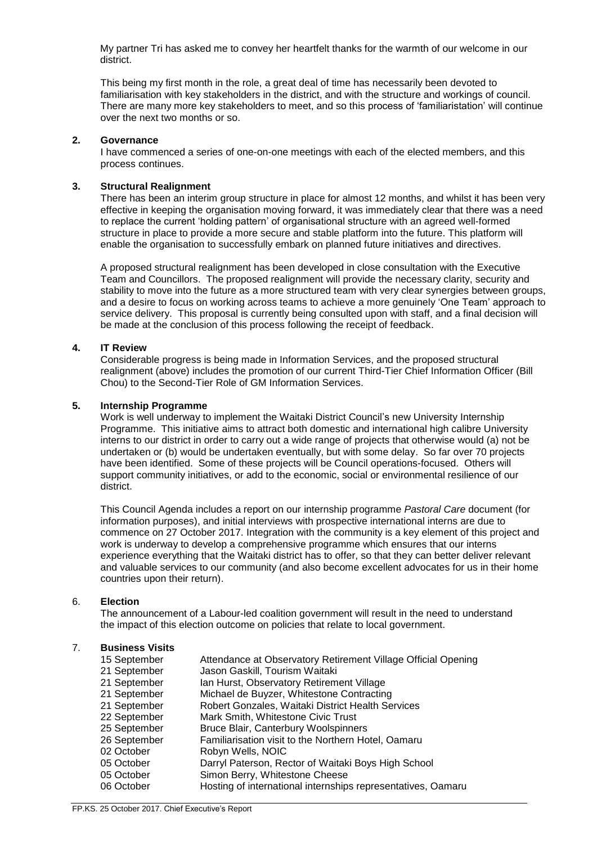My partner Tri has asked me to convey her heartfelt thanks for the warmth of our welcome in our district.

This being my first month in the role, a great deal of time has necessarily been devoted to familiarisation with key stakeholders in the district, and with the structure and workings of council. There are many more key stakeholders to meet, and so this process of 'familiaristation' will continue over the next two months or so.

#### **2. Governance**

I have commenced a series of one-on-one meetings with each of the elected members, and this process continues.

#### **3. Structural Realignment**

There has been an interim group structure in place for almost 12 months, and whilst it has been very effective in keeping the organisation moving forward, it was immediately clear that there was a need to replace the current 'holding pattern' of organisational structure with an agreed well-formed structure in place to provide a more secure and stable platform into the future. This platform will enable the organisation to successfully embark on planned future initiatives and directives.

A proposed structural realignment has been developed in close consultation with the Executive Team and Councillors. The proposed realignment will provide the necessary clarity, security and stability to move into the future as a more structured team with very clear synergies between groups, and a desire to focus on working across teams to achieve a more genuinely 'One Team' approach to service delivery. This proposal is currently being consulted upon with staff, and a final decision will be made at the conclusion of this process following the receipt of feedback.

#### **4. IT Review**

Considerable progress is being made in Information Services, and the proposed structural realignment (above) includes the promotion of our current Third-Tier Chief Information Officer (Bill Chou) to the Second-Tier Role of GM Information Services.

#### **5. Internship Programme**

Work is well underway to implement the Waitaki District Council's new University Internship Programme. This initiative aims to attract both domestic and international high calibre University interns to our district in order to carry out a wide range of projects that otherwise would (a) not be undertaken or (b) would be undertaken eventually, but with some delay. So far over 70 projects have been identified. Some of these projects will be Council operations-focused. Others will support community initiatives, or add to the economic, social or environmental resilience of our district.

This Council Agenda includes a report on our internship programme *Pastoral Care* document (for information purposes), and initial interviews with prospective international interns are due to commence on 27 October 2017. Integration with the community is a key element of this project and work is underway to develop a comprehensive programme which ensures that our interns experience everything that the Waitaki district has to offer, so that they can better deliver relevant and valuable services to our community (and also become excellent advocates for us in their home countries upon their return).

#### 6. **Election**

The announcement of a Labour-led coalition government will result in the need to understand the impact of this election outcome on policies that relate to local government.

#### 7. **Business Visits**

| 15 September | Attendance at Observatory Retirement Village Official Opening |
|--------------|---------------------------------------------------------------|
| 21 September | Jason Gaskill, Tourism Waitaki                                |
| 21 September | Ian Hurst, Observatory Retirement Village                     |
| 21 September | Michael de Buyzer, Whitestone Contracting                     |
| 21 September | Robert Gonzales, Waitaki District Health Services             |
| 22 September | Mark Smith, Whitestone Civic Trust                            |
| 25 September | Bruce Blair, Canterbury Woolspinners                          |
| 26 September | Familiarisation visit to the Northern Hotel, Oamaru           |
| 02 October   | Robyn Wells, NOIC                                             |
| 05 October   | Darryl Paterson, Rector of Waitaki Boys High School           |
| 05 October   | Simon Berry, Whitestone Cheese                                |
| 06 October   | Hosting of international internships representatives, Oamaru  |